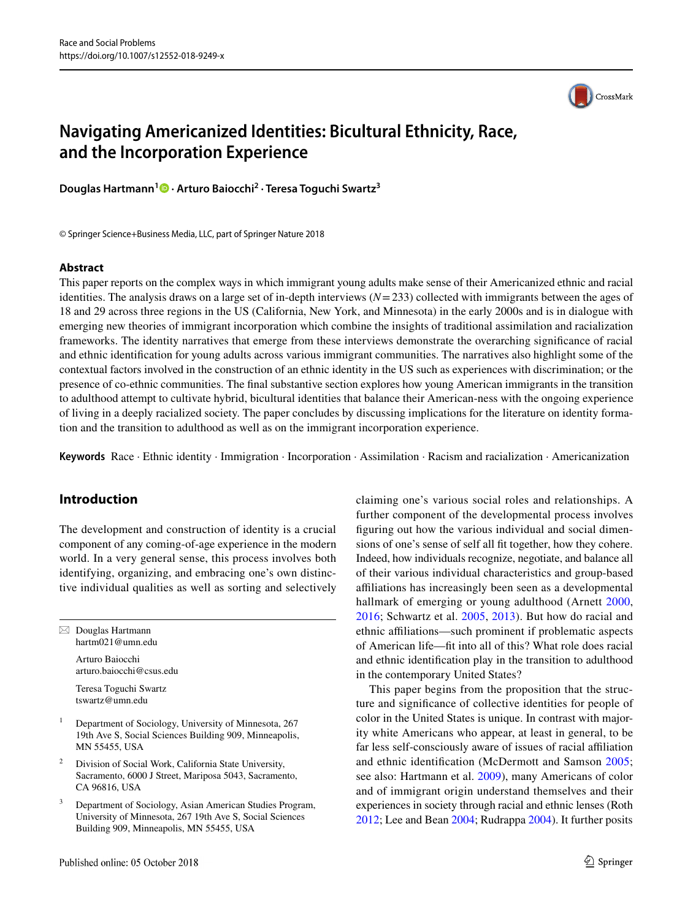

# **Navigating Americanized Identities: Bicultural Ethnicity, Race, and the Incorporation Experience**

**Douglas Hartmann[1](http://orcid.org/0000-0002-6436-2209) · Arturo Baiocchi2 · Teresa Toguchi Swartz<sup>3</sup>**

© Springer Science+Business Media, LLC, part of Springer Nature 2018

#### **Abstract**

This paper reports on the complex ways in which immigrant young adults make sense of their Americanized ethnic and racial identities. The analysis draws on a large set of in-depth interviews  $(N=233)$  collected with immigrants between the ages of 18 and 29 across three regions in the US (California, New York, and Minnesota) in the early 2000s and is in dialogue with emerging new theories of immigrant incorporation which combine the insights of traditional assimilation and racialization frameworks. The identity narratives that emerge from these interviews demonstrate the overarching significance of racial and ethnic identification for young adults across various immigrant communities. The narratives also highlight some of the contextual factors involved in the construction of an ethnic identity in the US such as experiences with discrimination; or the presence of co-ethnic communities. The final substantive section explores how young American immigrants in the transition to adulthood attempt to cultivate hybrid, bicultural identities that balance their American-ness with the ongoing experience of living in a deeply racialized society. The paper concludes by discussing implications for the literature on identity formation and the transition to adulthood as well as on the immigrant incorporation experience.

**Keywords** Race · Ethnic identity · Immigration · Incorporation · Assimilation · Racism and racialization · Americanization

# **Introduction**

The development and construction of identity is a crucial component of any coming-of-age experience in the modern world. In a very general sense, this process involves both identifying, organizing, and embracing one's own distinctive individual qualities as well as sorting and selectively

 $\boxtimes$  Douglas Hartmann hartm021@umn.edu

> Arturo Baiocchi arturo.baiocchi@csus.edu

Teresa Toguchi Swartz tswartz@umn.edu

- <sup>1</sup> Department of Sociology, University of Minnesota, 267 19th Ave S, Social Sciences Building 909, Minneapolis, MN 55455, USA
- <sup>2</sup> Division of Social Work, California State University, Sacramento, 6000 J Street, Mariposa 5043, Sacramento, CA 96816, USA
- Department of Sociology, Asian American Studies Program, University of Minnesota, 267 19th Ave S, Social Sciences Building 909, Minneapolis, MN 55455, USA

claiming one's various social roles and relationships. A further component of the developmental process involves figuring out how the various individual and social dimensions of one's sense of self all fit together, how they cohere. Indeed, how individuals recognize, negotiate, and balance all of their various individual characteristics and group-based affiliations has increasingly been seen as a developmental hallmark of emerging or young adulthood (Arnett [2000,](#page-13-0) [2016;](#page-13-1) Schwartz et al. [2005](#page-14-0), [2013](#page-14-1)). But how do racial and ethnic affiliations—such prominent if problematic aspects of American life—fit into all of this? What role does racial and ethnic identification play in the transition to adulthood in the contemporary United States?

This paper begins from the proposition that the structure and significance of collective identities for people of color in the United States is unique. In contrast with majority white Americans who appear, at least in general, to be far less self-consciously aware of issues of racial affiliation and ethnic identification (McDermott and Samson [2005](#page-14-2); see also: Hartmann et al. [2009](#page-13-2)), many Americans of color and of immigrant origin understand themselves and their experiences in society through racial and ethnic lenses (Roth [2012](#page-14-3); Lee and Bean [2004](#page-14-4); Rudrappa [2004](#page-14-5)). It further posits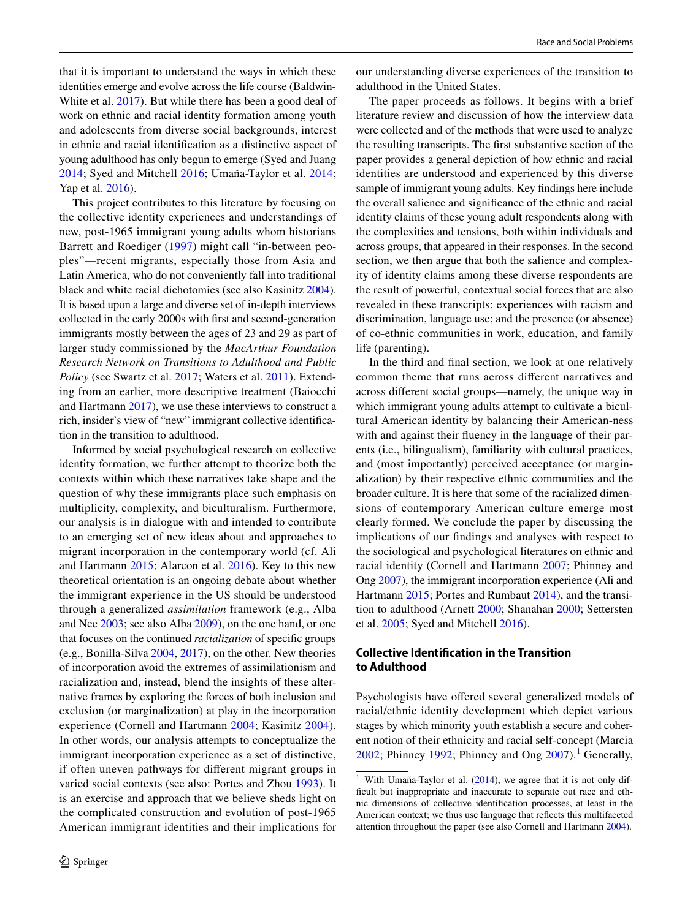that it is important to understand the ways in which these identities emerge and evolve across the life course (Baldwin-White et al. [2017\)](#page-13-3). But while there has been a good deal of work on ethnic and racial identity formation among youth and adolescents from diverse social backgrounds, interest in ethnic and racial identification as a distinctive aspect of young adulthood has only begun to emerge (Syed and Juang [2014](#page-14-6); Syed and Mitchell [2016;](#page-14-7) Umaña-Taylor et al. [2014](#page-14-8); Yap et al. [2016\)](#page-15-0).

This project contributes to this literature by focusing on the collective identity experiences and understandings of new, post-1965 immigrant young adults whom historians Barrett and Roediger ([1997\)](#page-13-4) might call "in-between peoples"—recent migrants, especially those from Asia and Latin America, who do not conveniently fall into traditional black and white racial dichotomies (see also Kasinitz [2004](#page-13-5)). It is based upon a large and diverse set of in-depth interviews collected in the early 2000s with first and second-generation immigrants mostly between the ages of 23 and 29 as part of larger study commissioned by the *MacArthur Foundation Research Network on Transitions to Adulthood and Public Policy* (see Swartz et al. [2017;](#page-14-9) Waters et al. [2011\)](#page-15-1). Extending from an earlier, more descriptive treatment (Baiocchi and Hartmann [2017\)](#page-13-6), we use these interviews to construct a rich, insider's view of "new" immigrant collective identification in the transition to adulthood.

Informed by social psychological research on collective identity formation, we further attempt to theorize both the contexts within which these narratives take shape and the question of why these immigrants place such emphasis on multiplicity, complexity, and biculturalism. Furthermore, our analysis is in dialogue with and intended to contribute to an emerging set of new ideas about and approaches to migrant incorporation in the contemporary world (cf. Ali and Hartmann [2015](#page-13-7); Alarcon et al. [2016](#page-13-8)). Key to this new theoretical orientation is an ongoing debate about whether the immigrant experience in the US should be understood through a generalized *assimilation* framework (e.g., Alba and Nee [2003](#page-13-9); see also Alba [2009](#page-13-10)), on the one hand, or one that focuses on the continued *racialization* of specific groups (e.g., Bonilla-Silva [2004](#page-13-11), [2017](#page-13-12)), on the other. New theories of incorporation avoid the extremes of assimilationism and racialization and, instead, blend the insights of these alternative frames by exploring the forces of both inclusion and exclusion (or marginalization) at play in the incorporation experience (Cornell and Hartmann [2004](#page-13-13); Kasinitz [2004](#page-13-5)). In other words, our analysis attempts to conceptualize the immigrant incorporation experience as a set of distinctive, if often uneven pathways for different migrant groups in varied social contexts (see also: Portes and Zhou [1993](#page-14-10)). It is an exercise and approach that we believe sheds light on the complicated construction and evolution of post-1965 American immigrant identities and their implications for our understanding diverse experiences of the transition to adulthood in the United States.

The paper proceeds as follows. It begins with a brief literature review and discussion of how the interview data were collected and of the methods that were used to analyze the resulting transcripts. The first substantive section of the paper provides a general depiction of how ethnic and racial identities are understood and experienced by this diverse sample of immigrant young adults. Key findings here include the overall salience and significance of the ethnic and racial identity claims of these young adult respondents along with the complexities and tensions, both within individuals and across groups, that appeared in their responses. In the second section, we then argue that both the salience and complexity of identity claims among these diverse respondents are the result of powerful, contextual social forces that are also revealed in these transcripts: experiences with racism and discrimination, language use; and the presence (or absence) of co-ethnic communities in work, education, and family life (parenting).

In the third and final section, we look at one relatively common theme that runs across different narratives and across different social groups—namely, the unique way in which immigrant young adults attempt to cultivate a bicultural American identity by balancing their American-ness with and against their fluency in the language of their parents (i.e., bilingualism), familiarity with cultural practices, and (most importantly) perceived acceptance (or marginalization) by their respective ethnic communities and the broader culture. It is here that some of the racialized dimensions of contemporary American culture emerge most clearly formed. We conclude the paper by discussing the implications of our findings and analyses with respect to the sociological and psychological literatures on ethnic and racial identity (Cornell and Hartmann [2007](#page-13-14); Phinney and Ong [2007](#page-14-11)), the immigrant incorporation experience (Ali and Hartmann [2015](#page-13-7); Portes and Rumbaut [2014](#page-14-12)), and the transition to adulthood (Arnett [2000;](#page-13-0) Shanahan [2000;](#page-14-13) Settersten et al. [2005](#page-14-14); Syed and Mitchell [2016\)](#page-14-7).

# **Collective Identification in the Transition to Adulthood**

Psychologists have offered several generalized models of racial/ethnic identity development which depict various stages by which minority youth establish a secure and coherent notion of their ethnicity and racial self-concept (Marcia  $2002$ ; Phinney [1992;](#page-14-16) Phinney and Ong  $2007$ ).<sup>[1](#page-1-0)</sup> Generally,

<span id="page-1-0"></span><sup>&</sup>lt;sup>1</sup> With Umaña-Taylor et al.  $(2014)$  $(2014)$ , we agree that it is not only difficult but inappropriate and inaccurate to separate out race and ethnic dimensions of collective identification processes, at least in the American context; we thus use language that reflects this multifaceted attention throughout the paper (see also Cornell and Hartmann [2004](#page-13-13)).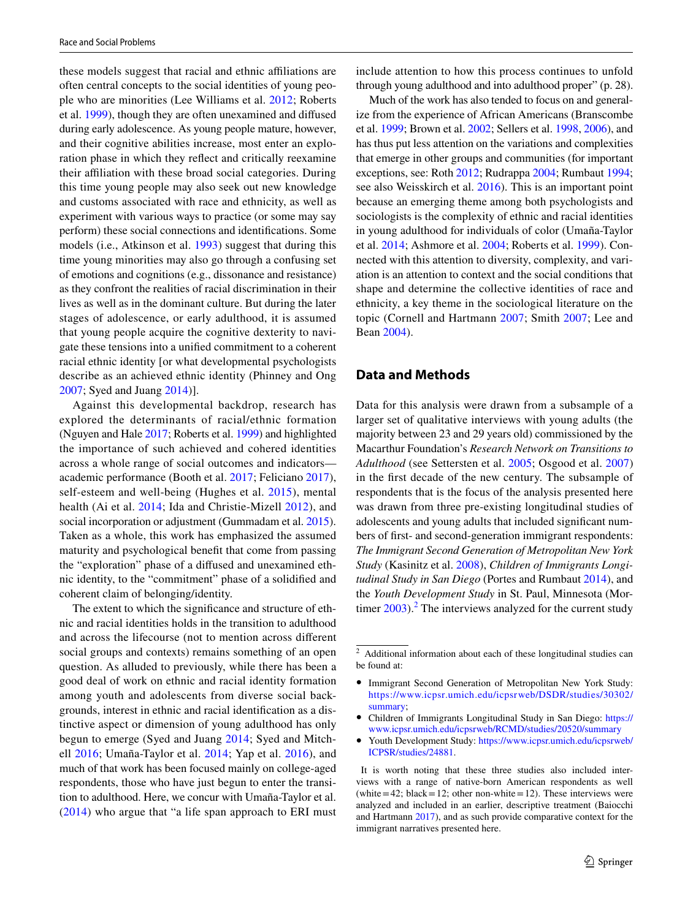these models suggest that racial and ethnic affiliations are often central concepts to the social identities of young people who are minorities (Lee Williams et al. [2012;](#page-14-17) Roberts et al. [1999\)](#page-14-18), though they are often unexamined and diffused during early adolescence. As young people mature, however, and their cognitive abilities increase, most enter an exploration phase in which they reflect and critically reexamine their affiliation with these broad social categories. During this time young people may also seek out new knowledge and customs associated with race and ethnicity, as well as experiment with various ways to practice (or some may say perform) these social connections and identifications. Some models (i.e., Atkinson et al. [1993](#page-13-15)) suggest that during this time young minorities may also go through a confusing set of emotions and cognitions (e.g., dissonance and resistance) as they confront the realities of racial discrimination in their lives as well as in the dominant culture. But during the later stages of adolescence, or early adulthood, it is assumed that young people acquire the cognitive dexterity to navigate these tensions into a unified commitment to a coherent racial ethnic identity [or what developmental psychologists describe as an achieved ethnic identity (Phinney and Ong [2007](#page-14-11); Syed and Juang [2014\)](#page-14-6)].

Against this developmental backdrop, research has explored the determinants of racial/ethnic formation (Nguyen and Hale [2017](#page-14-19); Roberts et al. [1999](#page-14-18)) and highlighted the importance of such achieved and cohered identities across a whole range of social outcomes and indicators academic performance (Booth et al. [2017;](#page-13-16) Feliciano [2017](#page-13-17)), self-esteem and well-being (Hughes et al. [2015](#page-13-18)), mental health (Ai et al. [2014](#page-13-19); Ida and Christie-Mizell [2012](#page-13-20)), and social incorporation or adjustment (Gummadam et al. [2015](#page-13-21)). Taken as a whole, this work has emphasized the assumed maturity and psychological benefit that come from passing the "exploration" phase of a diffused and unexamined ethnic identity, to the "commitment" phase of a solidified and coherent claim of belonging/identity.

The extent to which the significance and structure of ethnic and racial identities holds in the transition to adulthood and across the lifecourse (not to mention across different social groups and contexts) remains something of an open question. As alluded to previously, while there has been a good deal of work on ethnic and racial identity formation among youth and adolescents from diverse social backgrounds, interest in ethnic and racial identification as a distinctive aspect or dimension of young adulthood has only begun to emerge (Syed and Juang [2014;](#page-14-6) Syed and Mitchell [2016;](#page-14-7) Umaña-Taylor et al. [2014](#page-14-8); Yap et al. [2016](#page-15-0)), and much of that work has been focused mainly on college-aged respondents, those who have just begun to enter the transition to adulthood. Here, we concur with Umaña-Taylor et al. ([2014](#page-14-8)) who argue that "a life span approach to ERI must include attention to how this process continues to unfold through young adulthood and into adulthood proper" (p. 28).

Much of the work has also tended to focus on and generalize from the experience of African Americans (Branscombe et al. [1999](#page-13-22); Brown et al. [2002](#page-13-23); Sellers et al. [1998](#page-14-20), [2006\)](#page-14-21), and has thus put less attention on the variations and complexities that emerge in other groups and communities (for important exceptions, see: Roth [2012](#page-14-3); Rudrappa [2004;](#page-14-5) Rumbaut [1994](#page-14-22); see also Weisskirch et al. [2016\)](#page-15-2). This is an important point because an emerging theme among both psychologists and sociologists is the complexity of ethnic and racial identities in young adulthood for individuals of color (Umaña-Taylor et al. [2014](#page-14-8); Ashmore et al. [2004;](#page-13-24) Roberts et al. [1999\)](#page-14-18). Connected with this attention to diversity, complexity, and variation is an attention to context and the social conditions that shape and determine the collective identities of race and ethnicity, a key theme in the sociological literature on the topic (Cornell and Hartmann [2007;](#page-13-14) Smith [2007](#page-14-23); Lee and Bean [2004\)](#page-14-4).

# **Data and Methods**

Data for this analysis were drawn from a subsample of a larger set of qualitative interviews with young adults (the majority between 23 and 29 years old) commissioned by the Macarthur Foundation's *Research Network on Transitions to Adulthood* (see Settersten et al. [2005](#page-14-14); Osgood et al. [2007](#page-14-24)) in the first decade of the new century. The subsample of respondents that is the focus of the analysis presented here was drawn from three pre-existing longitudinal studies of adolescents and young adults that included significant numbers of first- and second-generation immigrant respondents: *The Immigrant Second Generation of Metropolitan New York Study* (Kasinitz et al. [2008](#page-14-25)), *Children of Immigrants Longitudinal Study in San Diego* (Portes and Rumbaut [2014\)](#page-14-12), and the *Youth Development Study* in St. Paul, Minnesota (Mortimer  $2003$  $2003$ ).<sup>2</sup> The interviews analyzed for the current study

- Children of Immigrants Longitudinal Study in San Diego: [https://](https://www.icpsr.umich.edu/icpsrweb/RCMD/studies/20520/summary) [www.icpsr.umich.edu/icpsrweb/RCMD/studies/20520/summary](https://www.icpsr.umich.edu/icpsrweb/RCMD/studies/20520/summary)
- Youth Development Study: [https://www.icpsr.umich.edu/icpsrweb/](https://www.icpsr.umich.edu/icpsrweb/ICPSR/studies/24881) [ICPSR/studies/24881.](https://www.icpsr.umich.edu/icpsrweb/ICPSR/studies/24881)

<span id="page-2-0"></span><sup>&</sup>lt;sup>2</sup> Additional information about each of these longitudinal studies can be found at:

<sup>•</sup> Immigrant Second Generation of Metropolitan New York Study: [https://www.icpsr.umich.edu/icpsrweb/DSDR/studies/30302/](https://www.icpsr.umich.edu/icpsrweb/DSDR/studies/30302/summary) [summary;](https://www.icpsr.umich.edu/icpsrweb/DSDR/studies/30302/summary)

It is worth noting that these three studies also included interviews with a range of native-born American respondents as well (white  $=42$ ; black  $=12$ ; other non-white  $=12$ ). These interviews were analyzed and included in an earlier, descriptive treatment (Baiocchi and Hartmann [2017](#page-13-6)), and as such provide comparative context for the immigrant narratives presented here.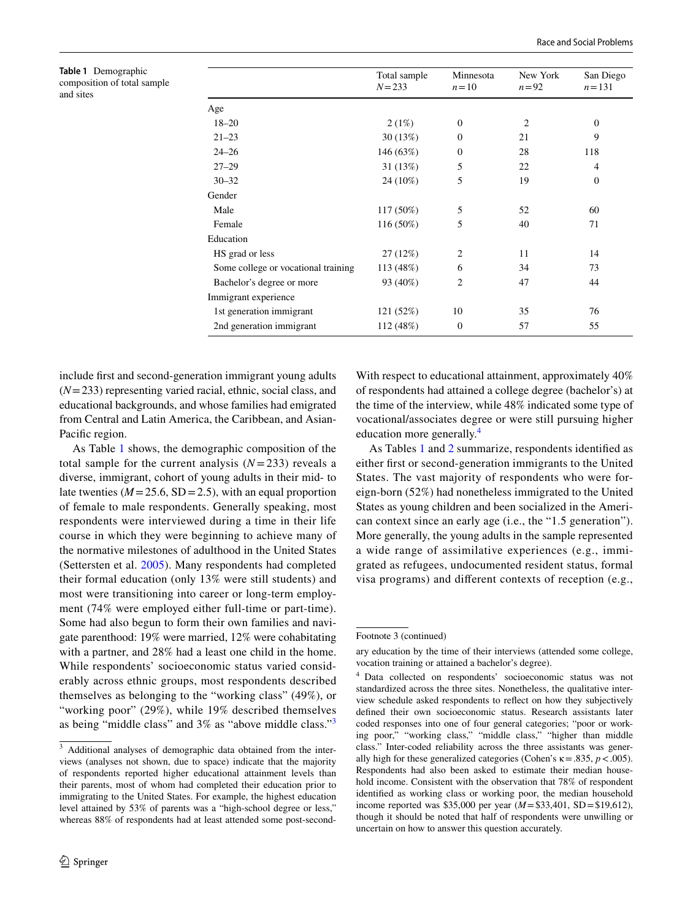<span id="page-3-0"></span>**Table 1** Demographic composition of total sample and sites

|                                     | Total sample<br>$N = 233$ | Minnesota<br>$n=10$ | New York<br>$n=92$ | San Diego<br>$n = 131$ |
|-------------------------------------|---------------------------|---------------------|--------------------|------------------------|
| Age                                 |                           |                     |                    |                        |
| $18 - 20$                           | 2(1%)                     | $\boldsymbol{0}$    | 2                  | $\boldsymbol{0}$       |
| $21 - 23$                           | 30 (13%)                  | $\theta$            | 21                 | 9                      |
| $24 - 26$                           | 146 (63%)                 | $\theta$            | 28                 | 118                    |
| $27 - 29$                           | 31 (13%)                  | 5                   | 22                 | 4                      |
| $30 - 32$                           | 24 (10%)                  | 5                   | 19                 | $\mathbf{0}$           |
| Gender                              |                           |                     |                    |                        |
| Male                                | 117 (50%)                 | 5                   | 52                 | 60                     |
| Female                              | 116 (50%)                 | 5                   | 40                 | 71                     |
| Education                           |                           |                     |                    |                        |
| HS grad or less                     | 27(12%)                   | 2                   | 11                 | 14                     |
| Some college or vocational training | 113 (48%)                 | 6                   | 34                 | 73                     |
| Bachelor's degree or more           | 93 (40%)                  | $\overline{c}$      | 47                 | 44                     |
| Immigrant experience                |                           |                     |                    |                        |
| 1st generation immigrant            | 121 (52%)                 | 10                  | 35                 | 76                     |
| 2nd generation immigrant            | 112 (48%)                 | $\theta$            | 57                 | 55                     |

include first and second-generation immigrant young adults (*N*=233) representing varied racial, ethnic, social class, and educational backgrounds, and whose families had emigrated from Central and Latin America, the Caribbean, and Asian-Pacific region.

As Table [1](#page-3-0) shows, the demographic composition of the total sample for the current analysis  $(N=233)$  reveals a diverse, immigrant, cohort of young adults in their mid- to late twenties  $(M=25.6, SD=2.5)$ , with an equal proportion of female to male respondents. Generally speaking, most respondents were interviewed during a time in their life course in which they were beginning to achieve many of the normative milestones of adulthood in the United States (Settersten et al. [2005\)](#page-14-14). Many respondents had completed their formal education (only 13% were still students) and most were transitioning into career or long-term employment (74% were employed either full-time or part-time). Some had also begun to form their own families and navigate parenthood: 19% were married, 12% were cohabitating with a partner, and 28% had a least one child in the home. While respondents' socioeconomic status varied considerably across ethnic groups, most respondents described themselves as belonging to the "working class" (49%), or "working poor" (29%), while 19% described themselves as being "middle class" and 3% as "above middle class."[3](#page-3-1)

With respect to educational attainment, approximately 40% of respondents had attained a college degree (bachelor's) at the time of the interview, while 48% indicated some type of vocational/associates degree or were still pursuing higher education more generally.<sup>[4](#page-3-2)</sup>

As Tables [1](#page-3-0) and [2](#page-4-0) summarize, respondents identified as either first or second-generation immigrants to the United States. The vast majority of respondents who were foreign-born (52%) had nonetheless immigrated to the United States as young children and been socialized in the American context since an early age (i.e., the "1.5 generation"). More generally, the young adults in the sample represented a wide range of assimilative experiences (e.g., immigrated as refugees, undocumented resident status, formal visa programs) and different contexts of reception (e.g.,

<span id="page-3-1"></span><sup>3</sup> Additional analyses of demographic data obtained from the interviews (analyses not shown, due to space) indicate that the majority of respondents reported higher educational attainment levels than their parents, most of whom had completed their education prior to immigrating to the United States. For example, the highest education level attained by 53% of parents was a "high-school degree or less," whereas 88% of respondents had at least attended some post-second-

Footnote 3 (continued)

ary education by the time of their interviews (attended some college, vocation training or attained a bachelor's degree).

<span id="page-3-2"></span><sup>4</sup> Data collected on respondents' socioeconomic status was not standardized across the three sites. Nonetheless, the qualitative interview schedule asked respondents to reflect on how they subjectively defined their own socioeconomic status. Research assistants later coded responses into one of four general categories; "poor or working poor," "working class," "middle class," "higher than middle class." Inter-coded reliability across the three assistants was generally high for these generalized categories (Cohen's  $\kappa = .835$ ,  $p < .005$ ). Respondents had also been asked to estimate their median household income. Consistent with the observation that 78% of respondent identified as working class or working poor, the median household income reported was \$35,000 per year (*M*=\$33,401, SD=\$19,612), though it should be noted that half of respondents were unwilling or uncertain on how to answer this question accurately.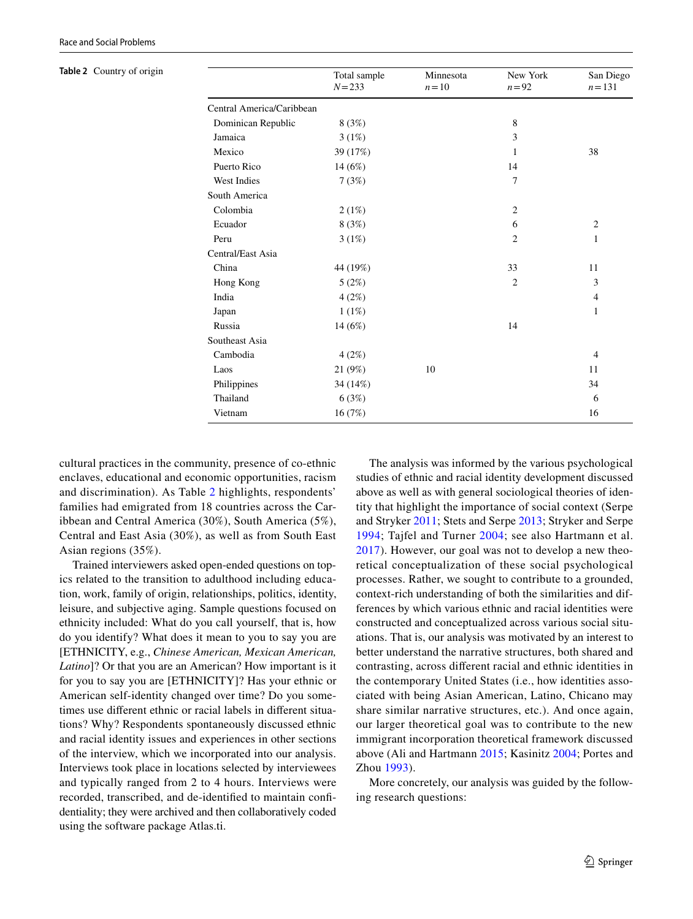#### <span id="page-4-0"></span>**Table 2** Country of origin

|                           | Total sample<br>$N = 233$ | Minnesota<br>$n=10$ | New York<br>$n=92$ | San Diego<br>$n = 131$ |
|---------------------------|---------------------------|---------------------|--------------------|------------------------|
| Central America/Caribbean |                           |                     |                    |                        |
| Dominican Republic        | 8(3%)                     |                     | 8                  |                        |
| Jamaica                   | 3(1%)                     |                     | 3                  |                        |
| Mexico                    | 39 (17%)                  |                     | 1                  | 38                     |
| Puerto Rico               | 14(6%)                    |                     | 14                 |                        |
| <b>West Indies</b>        | 7(3%)                     |                     | 7                  |                        |
| South America             |                           |                     |                    |                        |
| Colombia                  | 2(1%)                     |                     | $\overline{2}$     |                        |
| Ecuador                   | 8(3%)                     |                     | 6                  | 2                      |
| Peru                      | 3(1%)                     |                     | $\overline{2}$     | $\mathbf{1}$           |
| Central/East Asia         |                           |                     |                    |                        |
| China                     | 44 (19%)                  |                     | 33                 | 11                     |
| Hong Kong                 | 5(2%)                     |                     | $\overline{2}$     | 3                      |
| India                     | 4(2%)                     |                     |                    | $\overline{4}$         |
| Japan                     | 1(1%)                     |                     |                    | $\mathbf{1}$           |
| Russia                    | 14 (6%)                   |                     | 14                 |                        |
| Southeast Asia            |                           |                     |                    |                        |
| Cambodia                  | 4(2%)                     |                     |                    | $\overline{4}$         |
| Laos                      | 21 (9%)                   | 10                  |                    | 11                     |
| Philippines               | 34 (14%)                  |                     |                    | 34                     |
| Thailand                  | 6(3%)                     |                     |                    | 6                      |
| Vietnam                   | 16(7%)                    |                     |                    | 16                     |

cultural practices in the community, presence of co-ethnic enclaves, educational and economic opportunities, racism and discrimination). As Table [2](#page-4-0) highlights, respondents' families had emigrated from 18 countries across the Caribbean and Central America (30%), South America (5%), Central and East Asia (30%), as well as from South East Asian regions (35%).

Trained interviewers asked open-ended questions on topics related to the transition to adulthood including education, work, family of origin, relationships, politics, identity, leisure, and subjective aging. Sample questions focused on ethnicity included: What do you call yourself, that is, how do you identify? What does it mean to you to say you are [ETHNICITY, e.g., *Chinese American, Mexican American, Latino*]? Or that you are an American? How important is it for you to say you are [ETHNICITY]? Has your ethnic or American self-identity changed over time? Do you sometimes use different ethnic or racial labels in different situations? Why? Respondents spontaneously discussed ethnic and racial identity issues and experiences in other sections of the interview, which we incorporated into our analysis. Interviews took place in locations selected by interviewees and typically ranged from 2 to 4 hours. Interviews were recorded, transcribed, and de-identified to maintain confidentiality; they were archived and then collaboratively coded using the software package Atlas.ti.

The analysis was informed by the various psychological studies of ethnic and racial identity development discussed above as well as with general sociological theories of identity that highlight the importance of social context (Serpe and Stryker [2011;](#page-14-27) Stets and Serpe [2013](#page-14-28); Stryker and Serpe [1994](#page-14-29); Tajfel and Turner [2004](#page-14-30); see also Hartmann et al. [2017\)](#page-13-25). However, our goal was not to develop a new theoretical conceptualization of these social psychological processes. Rather, we sought to contribute to a grounded, context-rich understanding of both the similarities and differences by which various ethnic and racial identities were constructed and conceptualized across various social situations. That is, our analysis was motivated by an interest to better understand the narrative structures, both shared and contrasting, across different racial and ethnic identities in the contemporary United States (i.e., how identities associated with being Asian American, Latino, Chicano may share similar narrative structures, etc.). And once again, our larger theoretical goal was to contribute to the new immigrant incorporation theoretical framework discussed above (Ali and Hartmann [2015](#page-13-7); Kasinitz [2004;](#page-13-5) Portes and Zhou [1993](#page-14-10)).

More concretely, our analysis was guided by the following research questions: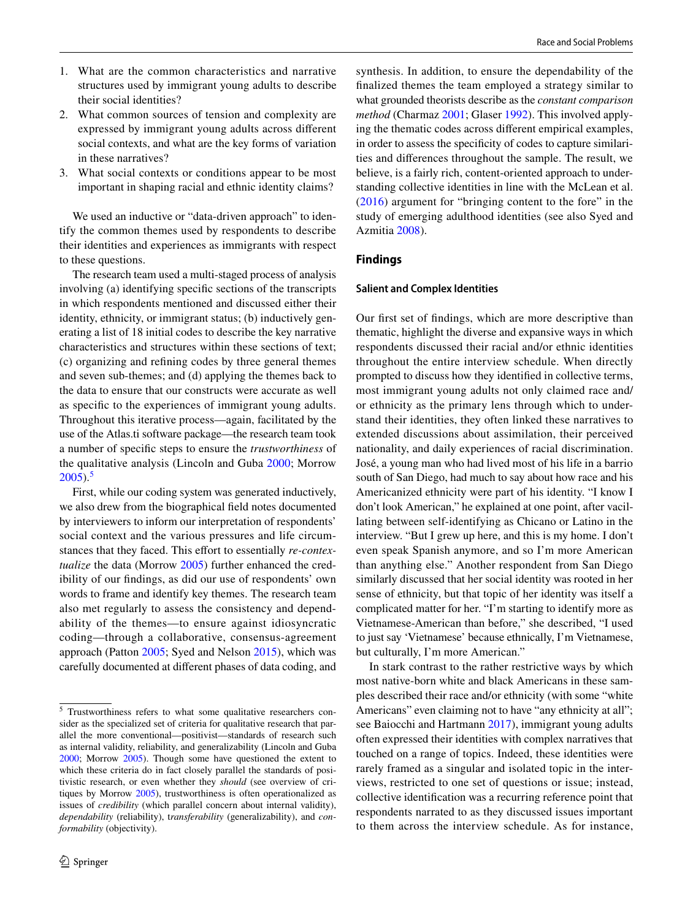- 1. What are the common characteristics and narrative structures used by immigrant young adults to describe their social identities?
- 2. What common sources of tension and complexity are expressed by immigrant young adults across different social contexts, and what are the key forms of variation in these narratives?
- 3. What social contexts or conditions appear to be most important in shaping racial and ethnic identity claims?

We used an inductive or "data-driven approach" to identify the common themes used by respondents to describe their identities and experiences as immigrants with respect to these questions.

The research team used a multi-staged process of analysis involving (a) identifying specific sections of the transcripts in which respondents mentioned and discussed either their identity, ethnicity, or immigrant status; (b) inductively generating a list of 18 initial codes to describe the key narrative characteristics and structures within these sections of text; (c) organizing and refining codes by three general themes and seven sub-themes; and (d) applying the themes back to the data to ensure that our constructs were accurate as well as specific to the experiences of immigrant young adults. Throughout this iterative process—again, facilitated by the use of the Atlas.ti software package—the research team took a number of specific steps to ensure the *trustworthiness* of the qualitative analysis (Lincoln and Guba [2000;](#page-14-31) Morrow  $2005$ ).<sup>[5](#page-5-0)</sup>

First, while our coding system was generated inductively, we also drew from the biographical field notes documented by interviewers to inform our interpretation of respondents' social context and the various pressures and life circumstances that they faced. This effort to essentially *re-contextualize* the data (Morrow [2005](#page-14-32)) further enhanced the credibility of our findings, as did our use of respondents' own words to frame and identify key themes. The research team also met regularly to assess the consistency and dependability of the themes—to ensure against idiosyncratic coding—through a collaborative, consensus-agreement approach (Patton [2005](#page-14-33); Syed and Nelson [2015](#page-14-34)), which was carefully documented at different phases of data coding, and synthesis. In addition, to ensure the dependability of the finalized themes the team employed a strategy similar to what grounded theorists describe as the *constant comparison method* (Charmaz [2001](#page-13-26); Glaser [1992\)](#page-13-27). This involved applying the thematic codes across different empirical examples, in order to assess the specificity of codes to capture similarities and differences throughout the sample. The result, we believe, is a fairly rich, content-oriented approach to understanding collective identities in line with the McLean et al. ([2016](#page-14-35)) argument for "bringing content to the fore" in the study of emerging adulthood identities (see also Syed and Azmitia [2008](#page-14-36)).

#### **Findings**

#### **Salient and Complex Identities**

Our first set of findings, which are more descriptive than thematic, highlight the diverse and expansive ways in which respondents discussed their racial and/or ethnic identities throughout the entire interview schedule. When directly prompted to discuss how they identified in collective terms, most immigrant young adults not only claimed race and/ or ethnicity as the primary lens through which to understand their identities, they often linked these narratives to extended discussions about assimilation, their perceived nationality, and daily experiences of racial discrimination. José, a young man who had lived most of his life in a barrio south of San Diego, had much to say about how race and his Americanized ethnicity were part of his identity. "I know I don't look American," he explained at one point, after vacillating between self-identifying as Chicano or Latino in the interview. "But I grew up here, and this is my home. I don't even speak Spanish anymore, and so I'm more American than anything else." Another respondent from San Diego similarly discussed that her social identity was rooted in her sense of ethnicity, but that topic of her identity was itself a complicated matter for her. "I'm starting to identify more as Vietnamese-American than before," she described, "I used to just say 'Vietnamese' because ethnically, I'm Vietnamese, but culturally, I'm more American."

In stark contrast to the rather restrictive ways by which most native-born white and black Americans in these samples described their race and/or ethnicity (with some "white Americans" even claiming not to have "any ethnicity at all"; see Baiocchi and Hartmann [2017\)](#page-13-6), immigrant young adults often expressed their identities with complex narratives that touched on a range of topics. Indeed, these identities were rarely framed as a singular and isolated topic in the interviews, restricted to one set of questions or issue; instead, collective identification was a recurring reference point that respondents narrated to as they discussed issues important to them across the interview schedule. As for instance,

<span id="page-5-0"></span><sup>5</sup> Trustworthiness refers to what some qualitative researchers consider as the specialized set of criteria for qualitative research that parallel the more conventional—positivist—standards of research such as internal validity, reliability, and generalizability (Lincoln and Guba [2000](#page-14-31); Morrow [2005\)](#page-14-32). Though some have questioned the extent to which these criteria do in fact closely parallel the standards of positivistic research, or even whether they *should* (see overview of critiques by Morrow [2005\)](#page-14-32), trustworthiness is often operationalized as issues of *credibility* (which parallel concern about internal validity), *dependability* (reliability), t*ransferability* (generalizability), and *conformability* (objectivity).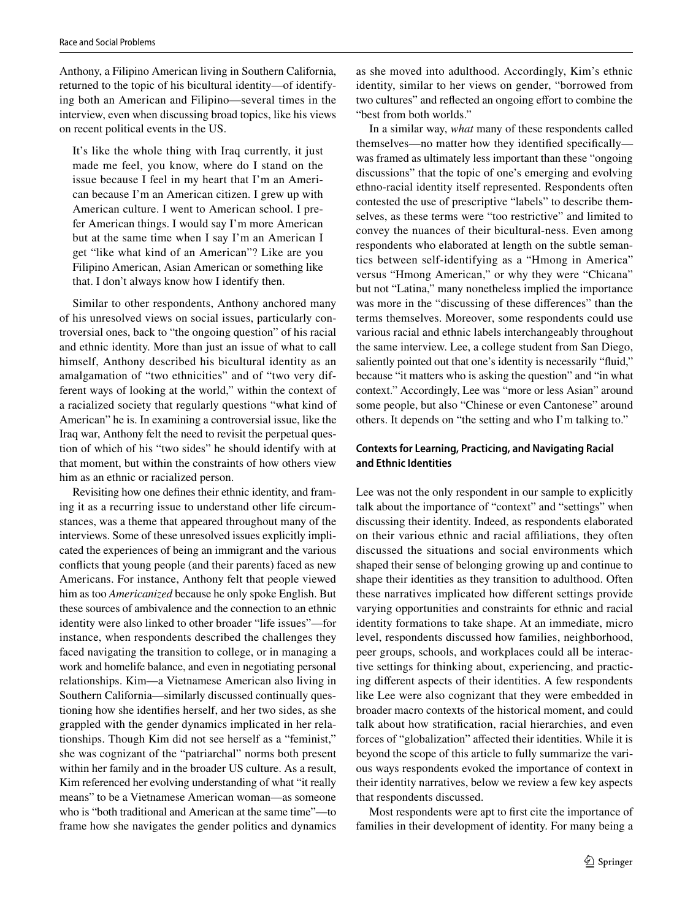Anthony, a Filipino American living in Southern California, returned to the topic of his bicultural identity—of identifying both an American and Filipino—several times in the interview, even when discussing broad topics, like his views on recent political events in the US.

It's like the whole thing with Iraq currently, it just made me feel, you know, where do I stand on the issue because I feel in my heart that I'm an American because I'm an American citizen. I grew up with American culture. I went to American school. I prefer American things. I would say I'm more American but at the same time when I say I'm an American I get "like what kind of an American"? Like are you Filipino American, Asian American or something like that. I don't always know how I identify then.

Similar to other respondents, Anthony anchored many of his unresolved views on social issues, particularly controversial ones, back to "the ongoing question" of his racial and ethnic identity. More than just an issue of what to call himself, Anthony described his bicultural identity as an amalgamation of "two ethnicities" and of "two very different ways of looking at the world," within the context of a racialized society that regularly questions "what kind of American" he is. In examining a controversial issue, like the Iraq war, Anthony felt the need to revisit the perpetual question of which of his "two sides" he should identify with at that moment, but within the constraints of how others view him as an ethnic or racialized person.

Revisiting how one defines their ethnic identity, and framing it as a recurring issue to understand other life circumstances, was a theme that appeared throughout many of the interviews. Some of these unresolved issues explicitly implicated the experiences of being an immigrant and the various conflicts that young people (and their parents) faced as new Americans. For instance, Anthony felt that people viewed him as too *Americanized* because he only spoke English. But these sources of ambivalence and the connection to an ethnic identity were also linked to other broader "life issues"—for instance, when respondents described the challenges they faced navigating the transition to college, or in managing a work and homelife balance, and even in negotiating personal relationships. Kim—a Vietnamese American also living in Southern California—similarly discussed continually questioning how she identifies herself, and her two sides, as she grappled with the gender dynamics implicated in her relationships. Though Kim did not see herself as a "feminist," she was cognizant of the "patriarchal" norms both present within her family and in the broader US culture. As a result, Kim referenced her evolving understanding of what "it really means" to be a Vietnamese American woman—as someone who is "both traditional and American at the same time"—to frame how she navigates the gender politics and dynamics as she moved into adulthood. Accordingly, Kim's ethnic identity, similar to her views on gender, "borrowed from two cultures" and reflected an ongoing effort to combine the "best from both worlds."

In a similar way, *what* many of these respondents called themselves—no matter how they identified specifically was framed as ultimately less important than these "ongoing discussions" that the topic of one's emerging and evolving ethno-racial identity itself represented. Respondents often contested the use of prescriptive "labels" to describe themselves, as these terms were "too restrictive" and limited to convey the nuances of their bicultural-ness. Even among respondents who elaborated at length on the subtle semantics between self-identifying as a "Hmong in America" versus "Hmong American," or why they were "Chicana" but not "Latina," many nonetheless implied the importance was more in the "discussing of these differences" than the terms themselves. Moreover, some respondents could use various racial and ethnic labels interchangeably throughout the same interview. Lee, a college student from San Diego, saliently pointed out that one's identity is necessarily "fluid," because "it matters who is asking the question" and "in what context." Accordingly, Lee was "more or less Asian" around some people, but also "Chinese or even Cantonese" around others. It depends on "the setting and who I'm talking to."

# **Contexts for Learning, Practicing, and Navigating Racial and Ethnic Identities**

Lee was not the only respondent in our sample to explicitly talk about the importance of "context" and "settings" when discussing their identity. Indeed, as respondents elaborated on their various ethnic and racial affiliations, they often discussed the situations and social environments which shaped their sense of belonging growing up and continue to shape their identities as they transition to adulthood. Often these narratives implicated how different settings provide varying opportunities and constraints for ethnic and racial identity formations to take shape. At an immediate, micro level, respondents discussed how families, neighborhood, peer groups, schools, and workplaces could all be interactive settings for thinking about, experiencing, and practicing different aspects of their identities. A few respondents like Lee were also cognizant that they were embedded in broader macro contexts of the historical moment, and could talk about how stratification, racial hierarchies, and even forces of "globalization" affected their identities. While it is beyond the scope of this article to fully summarize the various ways respondents evoked the importance of context in their identity narratives, below we review a few key aspects that respondents discussed.

Most respondents were apt to first cite the importance of families in their development of identity. For many being a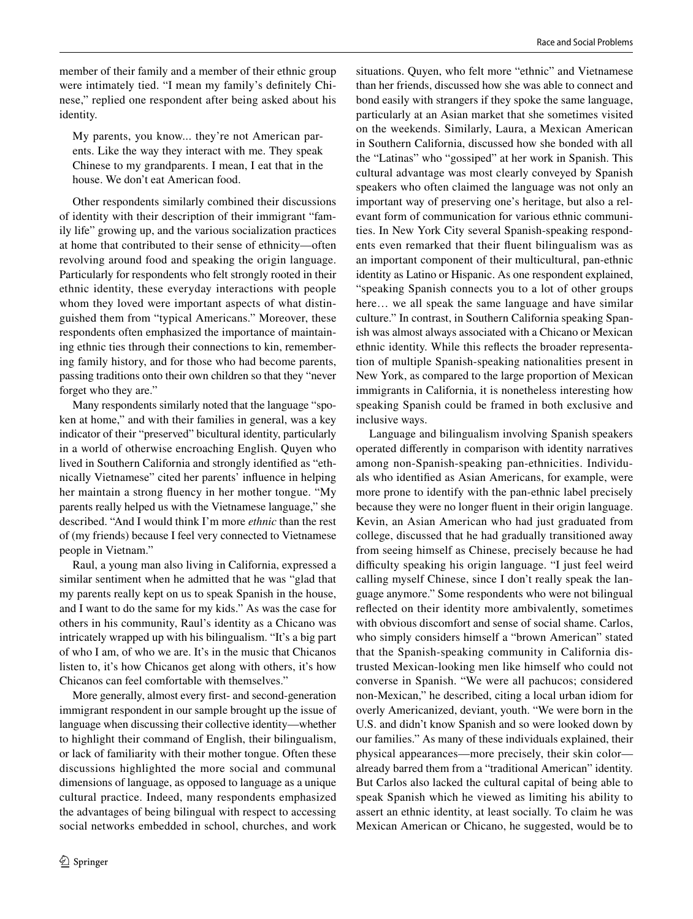member of their family and a member of their ethnic group were intimately tied. "I mean my family's definitely Chinese," replied one respondent after being asked about his identity.

My parents, you know... they're not American parents. Like the way they interact with me. They speak Chinese to my grandparents. I mean, I eat that in the house. We don't eat American food.

Other respondents similarly combined their discussions of identity with their description of their immigrant "family life" growing up, and the various socialization practices at home that contributed to their sense of ethnicity—often revolving around food and speaking the origin language. Particularly for respondents who felt strongly rooted in their ethnic identity, these everyday interactions with people whom they loved were important aspects of what distinguished them from "typical Americans." Moreover, these respondents often emphasized the importance of maintaining ethnic ties through their connections to kin, remembering family history, and for those who had become parents, passing traditions onto their own children so that they "never forget who they are."

Many respondents similarly noted that the language "spoken at home," and with their families in general, was a key indicator of their "preserved" bicultural identity, particularly in a world of otherwise encroaching English. Quyen who lived in Southern California and strongly identified as "ethnically Vietnamese" cited her parents' influence in helping her maintain a strong fluency in her mother tongue. "My parents really helped us with the Vietnamese language," she described. "And I would think I'm more *ethnic* than the rest of (my friends) because I feel very connected to Vietnamese people in Vietnam."

Raul, a young man also living in California, expressed a similar sentiment when he admitted that he was "glad that my parents really kept on us to speak Spanish in the house, and I want to do the same for my kids." As was the case for others in his community, Raul's identity as a Chicano was intricately wrapped up with his bilingualism. "It's a big part of who I am, of who we are. It's in the music that Chicanos listen to, it's how Chicanos get along with others, it's how Chicanos can feel comfortable with themselves."

More generally, almost every first- and second-generation immigrant respondent in our sample brought up the issue of language when discussing their collective identity—whether to highlight their command of English, their bilingualism, or lack of familiarity with their mother tongue. Often these discussions highlighted the more social and communal dimensions of language, as opposed to language as a unique cultural practice. Indeed, many respondents emphasized the advantages of being bilingual with respect to accessing social networks embedded in school, churches, and work situations. Quyen, who felt more "ethnic" and Vietnamese than her friends, discussed how she was able to connect and bond easily with strangers if they spoke the same language, particularly at an Asian market that she sometimes visited on the weekends. Similarly, Laura, a Mexican American in Southern California, discussed how she bonded with all the "Latinas" who "gossiped" at her work in Spanish. This cultural advantage was most clearly conveyed by Spanish speakers who often claimed the language was not only an important way of preserving one's heritage, but also a relevant form of communication for various ethnic communities. In New York City several Spanish-speaking respondents even remarked that their fluent bilingualism was as an important component of their multicultural, pan-ethnic identity as Latino or Hispanic. As one respondent explained, "speaking Spanish connects you to a lot of other groups here… we all speak the same language and have similar culture." In contrast, in Southern California speaking Spanish was almost always associated with a Chicano or Mexican ethnic identity. While this reflects the broader representation of multiple Spanish-speaking nationalities present in New York, as compared to the large proportion of Mexican immigrants in California, it is nonetheless interesting how speaking Spanish could be framed in both exclusive and inclusive ways.

Language and bilingualism involving Spanish speakers operated differently in comparison with identity narratives among non-Spanish-speaking pan-ethnicities. Individuals who identified as Asian Americans, for example, were more prone to identify with the pan-ethnic label precisely because they were no longer fluent in their origin language. Kevin, an Asian American who had just graduated from college, discussed that he had gradually transitioned away from seeing himself as Chinese, precisely because he had difficulty speaking his origin language. "I just feel weird calling myself Chinese, since I don't really speak the language anymore." Some respondents who were not bilingual reflected on their identity more ambivalently, sometimes with obvious discomfort and sense of social shame. Carlos, who simply considers himself a "brown American" stated that the Spanish-speaking community in California distrusted Mexican-looking men like himself who could not converse in Spanish. "We were all pachucos; considered non-Mexican," he described, citing a local urban idiom for overly Americanized, deviant, youth. "We were born in the U.S. and didn't know Spanish and so were looked down by our families." As many of these individuals explained, their physical appearances—more precisely, their skin color already barred them from a "traditional American" identity. But Carlos also lacked the cultural capital of being able to speak Spanish which he viewed as limiting his ability to assert an ethnic identity, at least socially. To claim he was Mexican American or Chicano, he suggested, would be to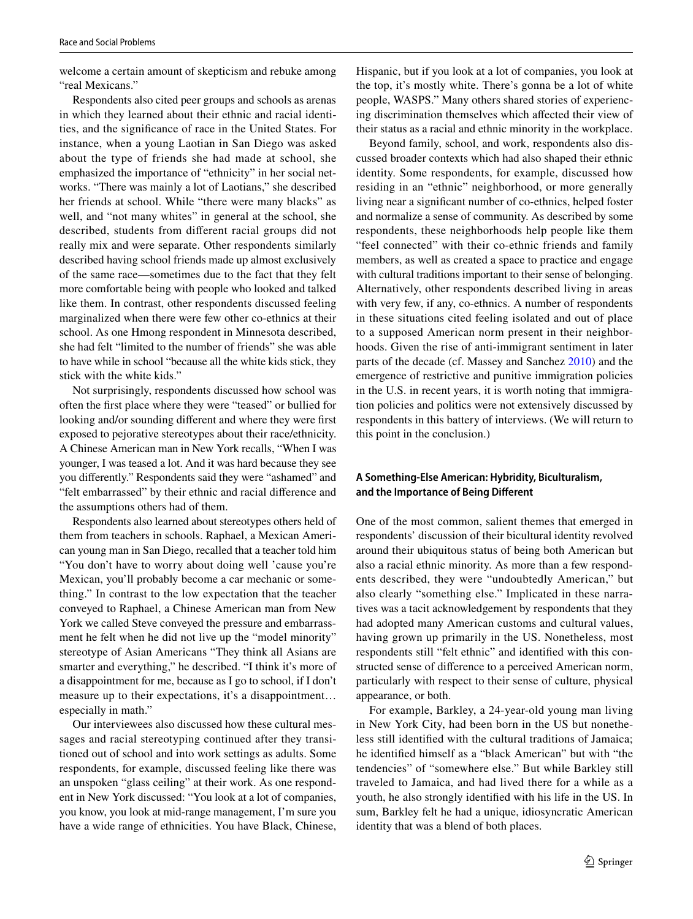welcome a certain amount of skepticism and rebuke among "real Mexicans."

Respondents also cited peer groups and schools as arenas in which they learned about their ethnic and racial identities, and the significance of race in the United States. For instance, when a young Laotian in San Diego was asked about the type of friends she had made at school, she emphasized the importance of "ethnicity" in her social networks. "There was mainly a lot of Laotians," she described her friends at school. While "there were many blacks" as well, and "not many whites" in general at the school, she described, students from different racial groups did not really mix and were separate. Other respondents similarly described having school friends made up almost exclusively of the same race—sometimes due to the fact that they felt more comfortable being with people who looked and talked like them. In contrast, other respondents discussed feeling marginalized when there were few other co-ethnics at their school. As one Hmong respondent in Minnesota described, she had felt "limited to the number of friends" she was able to have while in school "because all the white kids stick, they stick with the white kids."

Not surprisingly, respondents discussed how school was often the first place where they were "teased" or bullied for looking and/or sounding different and where they were first exposed to pejorative stereotypes about their race/ethnicity. A Chinese American man in New York recalls, "When I was younger, I was teased a lot. And it was hard because they see you differently." Respondents said they were "ashamed" and "felt embarrassed" by their ethnic and racial difference and the assumptions others had of them.

Respondents also learned about stereotypes others held of them from teachers in schools. Raphael, a Mexican American young man in San Diego, recalled that a teacher told him "You don't have to worry about doing well 'cause you're Mexican, you'll probably become a car mechanic or something." In contrast to the low expectation that the teacher conveyed to Raphael, a Chinese American man from New York we called Steve conveyed the pressure and embarrassment he felt when he did not live up the "model minority" stereotype of Asian Americans "They think all Asians are smarter and everything," he described. "I think it's more of a disappointment for me, because as I go to school, if I don't measure up to their expectations, it's a disappointment… especially in math."

Our interviewees also discussed how these cultural messages and racial stereotyping continued after they transitioned out of school and into work settings as adults. Some respondents, for example, discussed feeling like there was an unspoken "glass ceiling" at their work. As one respondent in New York discussed: "You look at a lot of companies, you know, you look at mid-range management, I'm sure you have a wide range of ethnicities. You have Black, Chinese, Hispanic, but if you look at a lot of companies, you look at the top, it's mostly white. There's gonna be a lot of white people, WASPS." Many others shared stories of experiencing discrimination themselves which affected their view of their status as a racial and ethnic minority in the workplace.

Beyond family, school, and work, respondents also discussed broader contexts which had also shaped their ethnic identity. Some respondents, for example, discussed how residing in an "ethnic" neighborhood, or more generally living near a significant number of co-ethnics, helped foster and normalize a sense of community. As described by some respondents, these neighborhoods help people like them "feel connected" with their co-ethnic friends and family members, as well as created a space to practice and engage with cultural traditions important to their sense of belonging. Alternatively, other respondents described living in areas with very few, if any, co-ethnics. A number of respondents in these situations cited feeling isolated and out of place to a supposed American norm present in their neighborhoods. Given the rise of anti-immigrant sentiment in later parts of the decade (cf. Massey and Sanchez [2010\)](#page-14-37) and the emergence of restrictive and punitive immigration policies in the U.S. in recent years, it is worth noting that immigration policies and politics were not extensively discussed by respondents in this battery of interviews. (We will return to this point in the conclusion.)

#### **A Something‑Else American: Hybridity, Biculturalism, and the Importance of Being Different**

One of the most common, salient themes that emerged in respondents' discussion of their bicultural identity revolved around their ubiquitous status of being both American but also a racial ethnic minority. As more than a few respondents described, they were "undoubtedly American," but also clearly "something else." Implicated in these narratives was a tacit acknowledgement by respondents that they had adopted many American customs and cultural values, having grown up primarily in the US. Nonetheless, most respondents still "felt ethnic" and identified with this constructed sense of difference to a perceived American norm, particularly with respect to their sense of culture, physical appearance, or both.

For example, Barkley, a 24-year-old young man living in New York City, had been born in the US but nonetheless still identified with the cultural traditions of Jamaica; he identified himself as a "black American" but with "the tendencies" of "somewhere else." But while Barkley still traveled to Jamaica, and had lived there for a while as a youth, he also strongly identified with his life in the US. In sum, Barkley felt he had a unique, idiosyncratic American identity that was a blend of both places.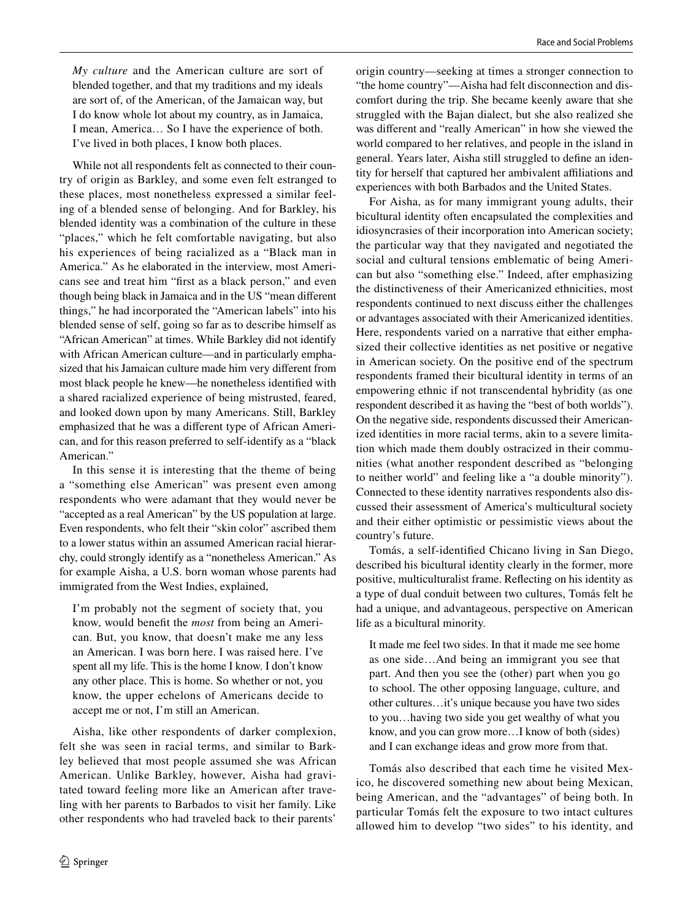*My culture* and the American culture are sort of blended together, and that my traditions and my ideals are sort of, of the American, of the Jamaican way, but I do know whole lot about my country, as in Jamaica, I mean, America… So I have the experience of both. I've lived in both places, I know both places.

While not all respondents felt as connected to their country of origin as Barkley, and some even felt estranged to these places, most nonetheless expressed a similar feeling of a blended sense of belonging. And for Barkley, his blended identity was a combination of the culture in these "places," which he felt comfortable navigating, but also his experiences of being racialized as a "Black man in America." As he elaborated in the interview, most Americans see and treat him "first as a black person," and even though being black in Jamaica and in the US "mean different things," he had incorporated the "American labels" into his blended sense of self, going so far as to describe himself as "African American" at times. While Barkley did not identify with African American culture—and in particularly emphasized that his Jamaican culture made him very different from most black people he knew—he nonetheless identified with a shared racialized experience of being mistrusted, feared, and looked down upon by many Americans. Still, Barkley emphasized that he was a different type of African American, and for this reason preferred to self-identify as a "black American."

In this sense it is interesting that the theme of being a "something else American" was present even among respondents who were adamant that they would never be "accepted as a real American" by the US population at large. Even respondents, who felt their "skin color" ascribed them to a lower status within an assumed American racial hierarchy, could strongly identify as a "nonetheless American." As for example Aisha, a U.S. born woman whose parents had immigrated from the West Indies, explained,

I'm probably not the segment of society that, you know, would benefit the *most* from being an American. But, you know, that doesn't make me any less an American. I was born here. I was raised here. I've spent all my life. This is the home I know. I don't know any other place. This is home. So whether or not, you know, the upper echelons of Americans decide to accept me or not, I'm still an American.

Aisha, like other respondents of darker complexion, felt she was seen in racial terms, and similar to Barkley believed that most people assumed she was African American. Unlike Barkley, however, Aisha had gravitated toward feeling more like an American after traveling with her parents to Barbados to visit her family. Like other respondents who had traveled back to their parents'

origin country—seeking at times a stronger connection to "the home country"—Aisha had felt disconnection and discomfort during the trip. She became keenly aware that she struggled with the Bajan dialect, but she also realized she was different and "really American" in how she viewed the world compared to her relatives, and people in the island in general. Years later, Aisha still struggled to define an identity for herself that captured her ambivalent affiliations and experiences with both Barbados and the United States.

For Aisha, as for many immigrant young adults, their bicultural identity often encapsulated the complexities and idiosyncrasies of their incorporation into American society; the particular way that they navigated and negotiated the social and cultural tensions emblematic of being American but also "something else." Indeed, after emphasizing the distinctiveness of their Americanized ethnicities, most respondents continued to next discuss either the challenges or advantages associated with their Americanized identities. Here, respondents varied on a narrative that either emphasized their collective identities as net positive or negative in American society. On the positive end of the spectrum respondents framed their bicultural identity in terms of an empowering ethnic if not transcendental hybridity (as one respondent described it as having the "best of both worlds"). On the negative side, respondents discussed their Americanized identities in more racial terms, akin to a severe limitation which made them doubly ostracized in their communities (what another respondent described as "belonging to neither world" and feeling like a "a double minority"). Connected to these identity narratives respondents also discussed their assessment of America's multicultural society and their either optimistic or pessimistic views about the country's future.

Tomás, a self-identified Chicano living in San Diego, described his bicultural identity clearly in the former, more positive, multiculturalist frame. Reflecting on his identity as a type of dual conduit between two cultures, Tomás felt he had a unique, and advantageous, perspective on American life as a bicultural minority.

It made me feel two sides. In that it made me see home as one side…And being an immigrant you see that part. And then you see the (other) part when you go to school. The other opposing language, culture, and other cultures…it's unique because you have two sides to you…having two side you get wealthy of what you know, and you can grow more…I know of both (sides) and I can exchange ideas and grow more from that.

Tomás also described that each time he visited Mexico, he discovered something new about being Mexican, being American, and the "advantages" of being both. In particular Tomás felt the exposure to two intact cultures allowed him to develop "two sides" to his identity, and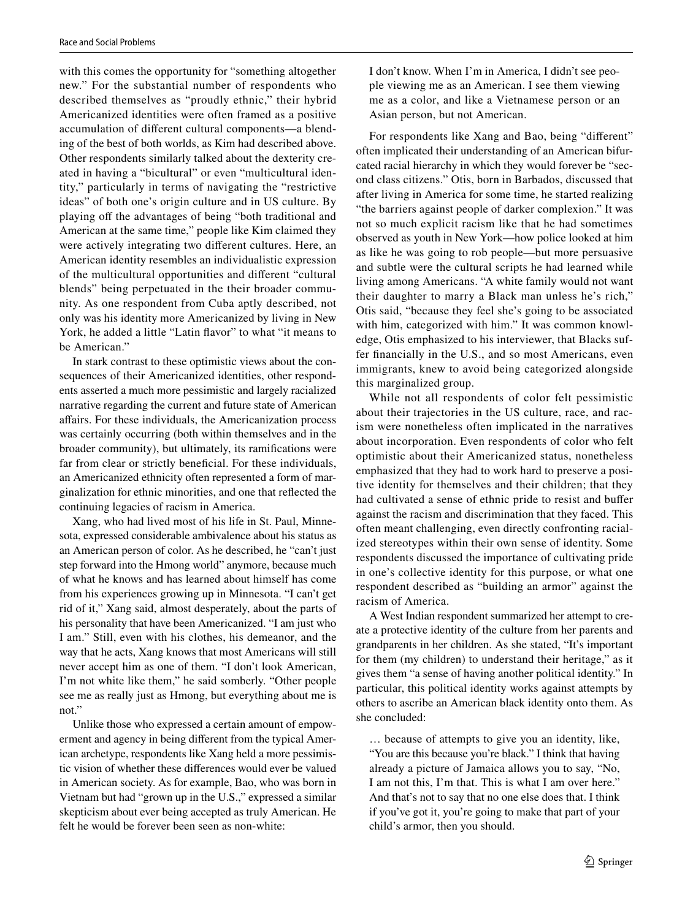with this comes the opportunity for "something altogether new." For the substantial number of respondents who described themselves as "proudly ethnic," their hybrid Americanized identities were often framed as a positive accumulation of different cultural components—a blending of the best of both worlds, as Kim had described above. Other respondents similarly talked about the dexterity created in having a "bicultural" or even "multicultural identity," particularly in terms of navigating the "restrictive ideas" of both one's origin culture and in US culture. By playing off the advantages of being "both traditional and American at the same time," people like Kim claimed they were actively integrating two different cultures. Here, an American identity resembles an individualistic expression of the multicultural opportunities and different "cultural blends" being perpetuated in the their broader community. As one respondent from Cuba aptly described, not only was his identity more Americanized by living in New York, he added a little "Latin flavor" to what "it means to be American."

In stark contrast to these optimistic views about the consequences of their Americanized identities, other respondents asserted a much more pessimistic and largely racialized narrative regarding the current and future state of American affairs. For these individuals, the Americanization process was certainly occurring (both within themselves and in the broader community), but ultimately, its ramifications were far from clear or strictly beneficial. For these individuals, an Americanized ethnicity often represented a form of marginalization for ethnic minorities, and one that reflected the continuing legacies of racism in America.

Xang, who had lived most of his life in St. Paul, Minnesota, expressed considerable ambivalence about his status as an American person of color. As he described, he "can't just step forward into the Hmong world" anymore, because much of what he knows and has learned about himself has come from his experiences growing up in Minnesota. "I can't get rid of it," Xang said, almost desperately, about the parts of his personality that have been Americanized. "I am just who I am." Still, even with his clothes, his demeanor, and the way that he acts, Xang knows that most Americans will still never accept him as one of them. "I don't look American, I'm not white like them," he said somberly. "Other people see me as really just as Hmong, but everything about me is not."

Unlike those who expressed a certain amount of empowerment and agency in being different from the typical American archetype, respondents like Xang held a more pessimistic vision of whether these differences would ever be valued in American society. As for example, Bao, who was born in Vietnam but had "grown up in the U.S.," expressed a similar skepticism about ever being accepted as truly American. He felt he would be forever been seen as non-white:

I don't know. When I'm in America, I didn't see people viewing me as an American. I see them viewing me as a color, and like a Vietnamese person or an Asian person, but not American.

For respondents like Xang and Bao, being "different" often implicated their understanding of an American bifurcated racial hierarchy in which they would forever be "second class citizens." Otis, born in Barbados, discussed that after living in America for some time, he started realizing "the barriers against people of darker complexion." It was not so much explicit racism like that he had sometimes observed as youth in New York—how police looked at him as like he was going to rob people—but more persuasive and subtle were the cultural scripts he had learned while living among Americans. "A white family would not want their daughter to marry a Black man unless he's rich," Otis said, "because they feel she's going to be associated with him, categorized with him." It was common knowledge, Otis emphasized to his interviewer, that Blacks suffer financially in the U.S., and so most Americans, even immigrants, knew to avoid being categorized alongside this marginalized group.

While not all respondents of color felt pessimistic about their trajectories in the US culture, race, and racism were nonetheless often implicated in the narratives about incorporation. Even respondents of color who felt optimistic about their Americanized status, nonetheless emphasized that they had to work hard to preserve a positive identity for themselves and their children; that they had cultivated a sense of ethnic pride to resist and buffer against the racism and discrimination that they faced. This often meant challenging, even directly confronting racialized stereotypes within their own sense of identity. Some respondents discussed the importance of cultivating pride in one's collective identity for this purpose, or what one respondent described as "building an armor" against the racism of America.

A West Indian respondent summarized her attempt to create a protective identity of the culture from her parents and grandparents in her children. As she stated, "It's important for them (my children) to understand their heritage," as it gives them "a sense of having another political identity." In particular, this political identity works against attempts by others to ascribe an American black identity onto them. As she concluded:

… because of attempts to give you an identity, like, "You are this because you're black." I think that having already a picture of Jamaica allows you to say, "No, I am not this, I'm that. This is what I am over here." And that's not to say that no one else does that. I think if you've got it, you're going to make that part of your child's armor, then you should.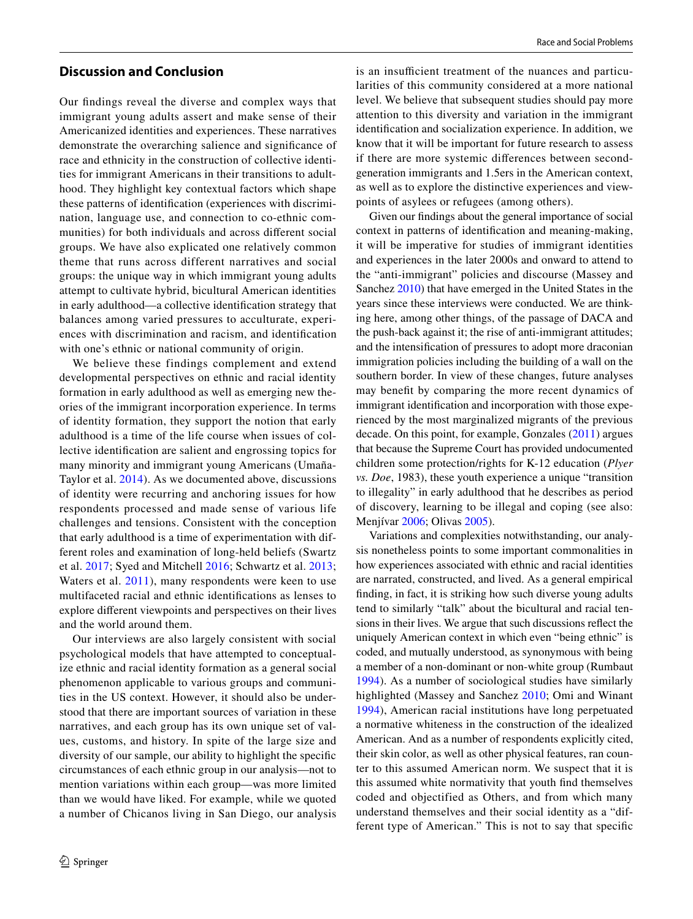# **Discussion and Conclusion**

Our findings reveal the diverse and complex ways that immigrant young adults assert and make sense of their Americanized identities and experiences. These narratives demonstrate the overarching salience and significance of race and ethnicity in the construction of collective identities for immigrant Americans in their transitions to adulthood. They highlight key contextual factors which shape these patterns of identification (experiences with discrimination, language use, and connection to co-ethnic communities) for both individuals and across different social groups. We have also explicated one relatively common theme that runs across different narratives and social groups: the unique way in which immigrant young adults attempt to cultivate hybrid, bicultural American identities in early adulthood—a collective identification strategy that balances among varied pressures to acculturate, experiences with discrimination and racism, and identification with one's ethnic or national community of origin.

We believe these findings complement and extend developmental perspectives on ethnic and racial identity formation in early adulthood as well as emerging new theories of the immigrant incorporation experience. In terms of identity formation, they support the notion that early adulthood is a time of the life course when issues of collective identification are salient and engrossing topics for many minority and immigrant young Americans (Umaña-Taylor et al. [2014](#page-14-8)). As we documented above, discussions of identity were recurring and anchoring issues for how respondents processed and made sense of various life challenges and tensions. Consistent with the conception that early adulthood is a time of experimentation with different roles and examination of long-held beliefs (Swartz et al. [2017](#page-14-9); Syed and Mitchell [2016](#page-14-7); Schwartz et al. [2013](#page-14-1); Waters et al. [2011\)](#page-15-1), many respondents were keen to use multifaceted racial and ethnic identifications as lenses to explore different viewpoints and perspectives on their lives and the world around them.

Our interviews are also largely consistent with social psychological models that have attempted to conceptualize ethnic and racial identity formation as a general social phenomenon applicable to various groups and communities in the US context. However, it should also be understood that there are important sources of variation in these narratives, and each group has its own unique set of values, customs, and history. In spite of the large size and diversity of our sample, our ability to highlight the specific circumstances of each ethnic group in our analysis—not to mention variations within each group—was more limited than we would have liked. For example, while we quoted a number of Chicanos living in San Diego, our analysis is an insufficient treatment of the nuances and particularities of this community considered at a more national level. We believe that subsequent studies should pay more attention to this diversity and variation in the immigrant identification and socialization experience. In addition, we know that it will be important for future research to assess if there are more systemic differences between secondgeneration immigrants and 1.5ers in the American context, as well as to explore the distinctive experiences and viewpoints of asylees or refugees (among others).

Given our findings about the general importance of social context in patterns of identification and meaning-making, it will be imperative for studies of immigrant identities and experiences in the later 2000s and onward to attend to the "anti-immigrant" policies and discourse (Massey and Sanchez [2010\)](#page-14-37) that have emerged in the United States in the years since these interviews were conducted. We are thinking here, among other things, of the passage of DACA and the push-back against it; the rise of anti-immigrant attitudes; and the intensification of pressures to adopt more draconian immigration policies including the building of a wall on the southern border. In view of these changes, future analyses may benefit by comparing the more recent dynamics of immigrant identification and incorporation with those experienced by the most marginalized migrants of the previous decade. On this point, for example, Gonzales [\(2011](#page-13-28)) argues that because the Supreme Court has provided undocumented children some protection/rights for K-12 education (*Plyer vs. Doe*, 1983), these youth experience a unique "transition to illegality" in early adulthood that he describes as period of discovery, learning to be illegal and coping (see also: Menjívar [2006;](#page-14-38) Olivas [2005\)](#page-14-39).

Variations and complexities notwithstanding, our analysis nonetheless points to some important commonalities in how experiences associated with ethnic and racial identities are narrated, constructed, and lived. As a general empirical finding, in fact, it is striking how such diverse young adults tend to similarly "talk" about the bicultural and racial tensions in their lives. We argue that such discussions reflect the uniquely American context in which even "being ethnic" is coded, and mutually understood, as synonymous with being a member of a non-dominant or non-white group (Rumbaut [1994\)](#page-14-22). As a number of sociological studies have similarly highlighted (Massey and Sanchez [2010](#page-14-37); Omi and Winant [1994\)](#page-14-40), American racial institutions have long perpetuated a normative whiteness in the construction of the idealized American. And as a number of respondents explicitly cited, their skin color, as well as other physical features, ran counter to this assumed American norm. We suspect that it is this assumed white normativity that youth find themselves coded and objectified as Others, and from which many understand themselves and their social identity as a "different type of American." This is not to say that specific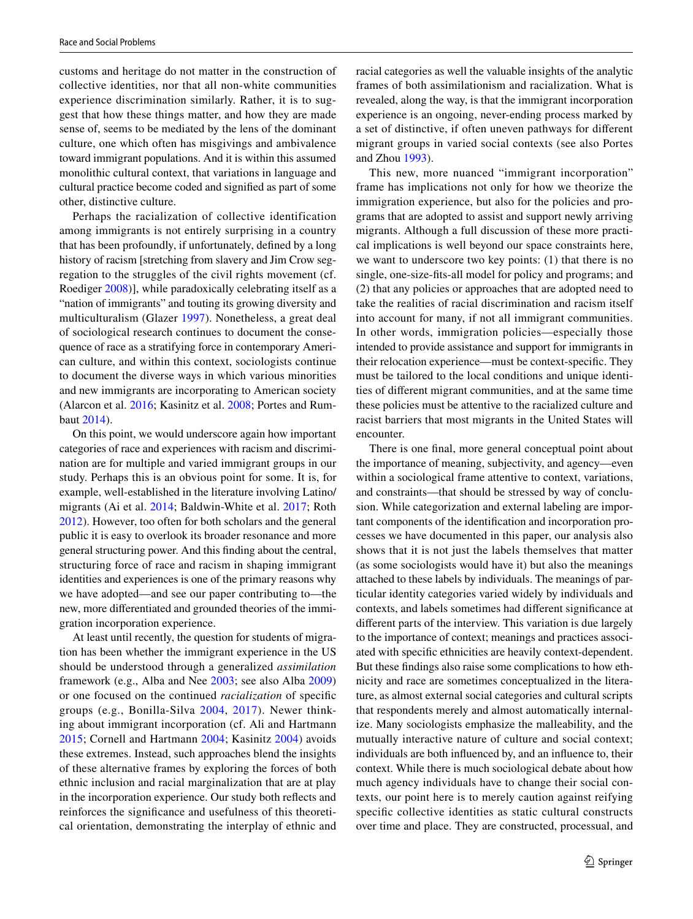customs and heritage do not matter in the construction of collective identities, nor that all non-white communities experience discrimination similarly. Rather, it is to suggest that how these things matter, and how they are made sense of, seems to be mediated by the lens of the dominant culture, one which often has misgivings and ambivalence toward immigrant populations. And it is within this assumed monolithic cultural context, that variations in language and cultural practice become coded and signified as part of some other, distinctive culture.

Perhaps the racialization of collective identification among immigrants is not entirely surprising in a country that has been profoundly, if unfortunately, defined by a long history of racism [stretching from slavery and Jim Crow segregation to the struggles of the civil rights movement (cf. Roediger [2008](#page-14-41))], while paradoxically celebrating itself as a "nation of immigrants" and touting its growing diversity and multiculturalism (Glazer [1997](#page-13-29)). Nonetheless, a great deal of sociological research continues to document the consequence of race as a stratifying force in contemporary American culture, and within this context, sociologists continue to document the diverse ways in which various minorities and new immigrants are incorporating to American society (Alarcon et al. [2016;](#page-13-8) Kasinitz et al. [2008;](#page-14-25) Portes and Rumbaut [2014](#page-14-12)).

On this point, we would underscore again how important categories of race and experiences with racism and discrimination are for multiple and varied immigrant groups in our study. Perhaps this is an obvious point for some. It is, for example, well-established in the literature involving Latino/ migrants (Ai et al. [2014;](#page-13-19) Baldwin-White et al. [2017;](#page-13-3) Roth [2012](#page-14-3)). However, too often for both scholars and the general public it is easy to overlook its broader resonance and more general structuring power. And this finding about the central, structuring force of race and racism in shaping immigrant identities and experiences is one of the primary reasons why we have adopted—and see our paper contributing to—the new, more differentiated and grounded theories of the immigration incorporation experience.

At least until recently, the question for students of migration has been whether the immigrant experience in the US should be understood through a generalized *assimilation* framework (e.g., Alba and Nee [2003;](#page-13-9) see also Alba [2009\)](#page-13-10) or one focused on the continued *racialization* of specific groups (e.g., Bonilla-Silva [2004](#page-13-11), [2017\)](#page-13-12). Newer thinking about immigrant incorporation (cf. Ali and Hartmann [2015](#page-13-7); Cornell and Hartmann [2004](#page-13-13); Kasinitz [2004\)](#page-13-5) avoids these extremes. Instead, such approaches blend the insights of these alternative frames by exploring the forces of both ethnic inclusion and racial marginalization that are at play in the incorporation experience. Our study both reflects and reinforces the significance and usefulness of this theoretical orientation, demonstrating the interplay of ethnic and racial categories as well the valuable insights of the analytic frames of both assimilationism and racialization. What is revealed, along the way, is that the immigrant incorporation experience is an ongoing, never-ending process marked by a set of distinctive, if often uneven pathways for different migrant groups in varied social contexts (see also Portes and Zhou [1993](#page-14-10)).

This new, more nuanced "immigrant incorporation" frame has implications not only for how we theorize the immigration experience, but also for the policies and programs that are adopted to assist and support newly arriving migrants. Although a full discussion of these more practical implications is well beyond our space constraints here, we want to underscore two key points: (1) that there is no single, one-size-fits-all model for policy and programs; and (2) that any policies or approaches that are adopted need to take the realities of racial discrimination and racism itself into account for many, if not all immigrant communities. In other words, immigration policies—especially those intended to provide assistance and support for immigrants in their relocation experience—must be context-specific. They must be tailored to the local conditions and unique identities of different migrant communities, and at the same time these policies must be attentive to the racialized culture and racist barriers that most migrants in the United States will encounter.

There is one final, more general conceptual point about the importance of meaning, subjectivity, and agency—even within a sociological frame attentive to context, variations, and constraints—that should be stressed by way of conclusion. While categorization and external labeling are important components of the identification and incorporation processes we have documented in this paper, our analysis also shows that it is not just the labels themselves that matter (as some sociologists would have it) but also the meanings attached to these labels by individuals. The meanings of particular identity categories varied widely by individuals and contexts, and labels sometimes had different significance at different parts of the interview. This variation is due largely to the importance of context; meanings and practices associated with specific ethnicities are heavily context-dependent. But these findings also raise some complications to how ethnicity and race are sometimes conceptualized in the literature, as almost external social categories and cultural scripts that respondents merely and almost automatically internalize. Many sociologists emphasize the malleability, and the mutually interactive nature of culture and social context; individuals are both influenced by, and an influence to, their context. While there is much sociological debate about how much agency individuals have to change their social contexts, our point here is to merely caution against reifying specific collective identities as static cultural constructs over time and place. They are constructed, processual, and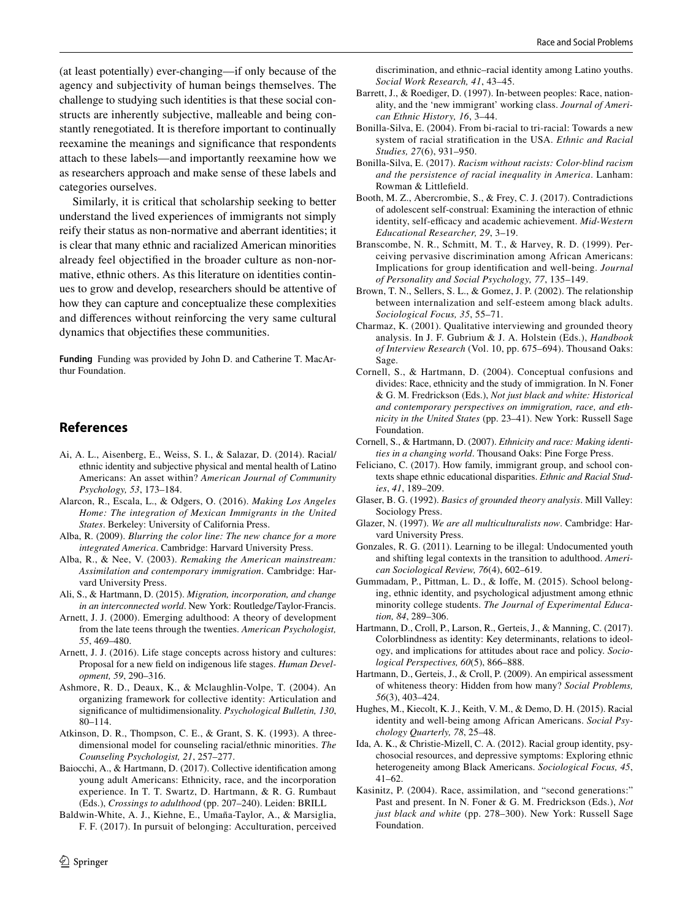(at least potentially) ever-changing—if only because of the agency and subjectivity of human beings themselves. The challenge to studying such identities is that these social constructs are inherently subjective, malleable and being constantly renegotiated. It is therefore important to continually reexamine the meanings and significance that respondents attach to these labels—and importantly reexamine how we as researchers approach and make sense of these labels and categories ourselves.

Similarly, it is critical that scholarship seeking to better understand the lived experiences of immigrants not simply reify their status as non-normative and aberrant identities; it is clear that many ethnic and racialized American minorities already feel objectified in the broader culture as non-normative, ethnic others. As this literature on identities continues to grow and develop, researchers should be attentive of how they can capture and conceptualize these complexities and differences without reinforcing the very same cultural dynamics that objectifies these communities.

**Funding** Funding was provided by John D. and Catherine T. MacArthur Foundation.

#### **References**

- <span id="page-13-19"></span>Ai, A. L., Aisenberg, E., Weiss, S. I., & Salazar, D. (2014). Racial/ ethnic identity and subjective physical and mental health of Latino Americans: An asset within? *American Journal of Community Psychology, 53*, 173–184.
- <span id="page-13-8"></span>Alarcon, R., Escala, L., & Odgers, O. (2016). *Making Los Angeles Home: The integration of Mexican Immigrants in the United States*. Berkeley: University of California Press.
- <span id="page-13-10"></span>Alba, R. (2009). *Blurring the color line: The new chance for a more integrated America*. Cambridge: Harvard University Press.
- <span id="page-13-9"></span>Alba, R., & Nee, V. (2003). *Remaking the American mainstream: Assimilation and contemporary immigration*. Cambridge: Harvard University Press.
- <span id="page-13-7"></span>Ali, S., & Hartmann, D. (2015). *Migration, incorporation, and change in an interconnected world*. New York: Routledge/Taylor-Francis.
- <span id="page-13-0"></span>Arnett, J. J. (2000). Emerging adulthood: A theory of development from the late teens through the twenties. *American Psychologist, 55*, 469–480.
- <span id="page-13-1"></span>Arnett, J. J. (2016). Life stage concepts across history and cultures: Proposal for a new field on indigenous life stages. *Human Development, 59*, 290–316.
- <span id="page-13-24"></span>Ashmore, R. D., Deaux, K., & Mclaughlin-Volpe, T. (2004). An organizing framework for collective identity: Articulation and significance of multidimensionality. *Psychological Bulletin, 130*, 80–114.
- <span id="page-13-15"></span>Atkinson, D. R., Thompson, C. E., & Grant, S. K. (1993). A threedimensional model for counseling racial/ethnic minorities. *The Counseling Psychologist, 21*, 257–277.
- <span id="page-13-6"></span>Baiocchi, A., & Hartmann, D. (2017). Collective identification among young adult Americans: Ethnicity, race, and the incorporation experience. In T. T. Swartz, D. Hartmann, & R. G. Rumbaut (Eds.), *Crossings to adulthood* (pp. 207–240). Leiden: BRILL
- <span id="page-13-3"></span>Baldwin-White, A. J., Kiehne, E., Umaña-Taylor, A., & Marsiglia, F. F. (2017). In pursuit of belonging: Acculturation, perceived

discrimination, and ethnic–racial identity among Latino youths. *Social Work Research, 41*, 43–45.

- <span id="page-13-4"></span>Barrett, J., & Roediger, D. (1997). In-between peoples: Race, nationality, and the 'new immigrant' working class. *Journal of American Ethnic History, 16*, 3–44.
- <span id="page-13-11"></span>Bonilla-Silva, E. (2004). From bi-racial to tri-racial: Towards a new system of racial stratification in the USA. *Ethnic and Racial Studies, 27*(6), 931–950.
- <span id="page-13-12"></span>Bonilla-Silva, E. (2017). *Racism without racists: Color-blind racism and the persistence of racial inequality in America*. Lanham: Rowman & Littlefield.
- <span id="page-13-16"></span>Booth, M. Z., Abercrombie, S., & Frey, C. J. (2017). Contradictions of adolescent self-construal: Examining the interaction of ethnic identity, self-efficacy and academic achievement. *Mid-Western Educational Researcher, 29*, 3–19.
- <span id="page-13-22"></span>Branscombe, N. R., Schmitt, M. T., & Harvey, R. D. (1999). Perceiving pervasive discrimination among African Americans: Implications for group identification and well-being. *Journal of Personality and Social Psychology, 77*, 135–149.
- <span id="page-13-23"></span>Brown, T. N., Sellers, S. L., & Gomez, J. P. (2002). The relationship between internalization and self-esteem among black adults. *Sociological Focus, 35*, 55–71.
- <span id="page-13-26"></span>Charmaz, K. (2001). Qualitative interviewing and grounded theory analysis. In J. F. Gubrium & J. A. Holstein (Eds.), *Handbook of Interview Research* (Vol. 10, pp. 675–694). Thousand Oaks: Sage.
- <span id="page-13-13"></span>Cornell, S., & Hartmann, D. (2004). Conceptual confusions and divides: Race, ethnicity and the study of immigration. In N. Foner & G. M. Fredrickson (Eds.), *Not just black and white: Historical and contemporary perspectives on immigration, race, and ethnicity in the United States* (pp. 23–41). New York: Russell Sage Foundation.
- <span id="page-13-14"></span>Cornell, S., & Hartmann, D. (2007). *Ethnicity and race: Making identities in a changing world*. Thousand Oaks: Pine Forge Press.
- <span id="page-13-17"></span>Feliciano, C. (2017). How family, immigrant group, and school contexts shape ethnic educational disparities. *Ethnic and Racial Studies*, *41*, 189–209.
- <span id="page-13-27"></span>Glaser, B. G. (1992). *Basics of grounded theory analysis*. Mill Valley: Sociology Press.
- <span id="page-13-29"></span>Glazer, N. (1997). *We are all multiculturalists now*. Cambridge: Harvard University Press.
- <span id="page-13-28"></span>Gonzales, R. G. (2011). Learning to be illegal: Undocumented youth and shifting legal contexts in the transition to adulthood. *American Sociological Review, 76*(4), 602–619.
- <span id="page-13-21"></span>Gummadam, P., Pittman, L. D., & Ioffe, M. (2015). School belonging, ethnic identity, and psychological adjustment among ethnic minority college students. *The Journal of Experimental Education, 84*, 289–306.
- <span id="page-13-25"></span>Hartmann, D., Croll, P., Larson, R., Gerteis, J., & Manning, C. (2017). Colorblindness as identity: Key determinants, relations to ideology, and implications for attitudes about race and policy. *Sociological Perspectives, 60*(5), 866–888.
- <span id="page-13-2"></span>Hartmann, D., Gerteis, J., & Croll, P. (2009). An empirical assessment of whiteness theory: Hidden from how many? *Social Problems, 56*(3), 403–424.
- <span id="page-13-18"></span>Hughes, M., Kiecolt, K. J., Keith, V. M., & Demo, D. H. (2015). Racial identity and well-being among African Americans. *Social Psychology Quarterly, 78*, 25–48.
- <span id="page-13-20"></span>Ida, A. K., & Christie-Mizell, C. A. (2012). Racial group identity, psychosocial resources, and depressive symptoms: Exploring ethnic heterogeneity among Black Americans. *Sociological Focus, 45*, 41–62.
- <span id="page-13-5"></span>Kasinitz, P. (2004). Race, assimilation, and "second generations:" Past and present. In N. Foner & G. M. Fredrickson (Eds.), *Not just black and white* (pp. 278–300). New York: Russell Sage Foundation.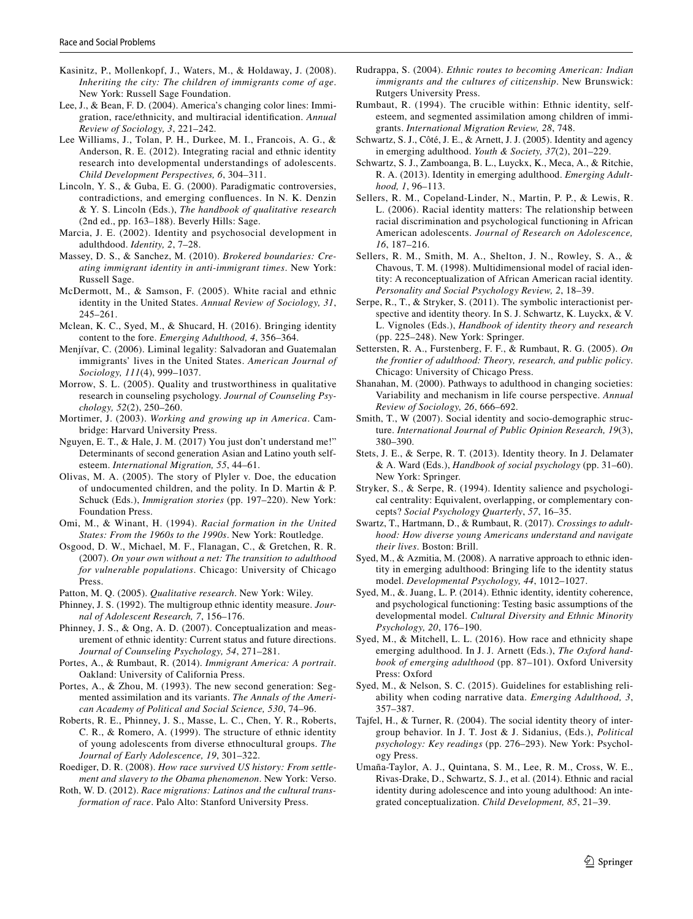- <span id="page-14-25"></span>Kasinitz, P., Mollenkopf, J., Waters, M., & Holdaway, J. (2008). *Inheriting the city: The children of immigrants come of age*. New York: Russell Sage Foundation.
- <span id="page-14-4"></span>Lee, J., & Bean, F. D. (2004). America's changing color lines: Immigration, race/ethnicity, and multiracial identification. *Annual Review of Sociology, 3*, 221–242.
- <span id="page-14-17"></span>Lee Williams, J., Tolan, P. H., Durkee, M. I., Francois, A. G., & Anderson, R. E. (2012). Integrating racial and ethnic identity research into developmental understandings of adolescents. *Child Development Perspectives, 6*, 304–311.
- <span id="page-14-31"></span>Lincoln, Y. S., & Guba, E. G. (2000). Paradigmatic controversies, contradictions, and emerging confluences. In N. K. Denzin & Y. S. Lincoln (Eds.), *The handbook of qualitative research* (2nd ed., pp. 163–188). Beverly Hills: Sage.
- <span id="page-14-15"></span>Marcia, J. E. (2002). Identity and psychosocial development in adulthdood. *Identity, 2*, 7–28.
- <span id="page-14-37"></span>Massey, D. S., & Sanchez, M. (2010). *Brokered boundaries: Creating immigrant identity in anti-immigrant times*. New York: Russell Sage.
- <span id="page-14-2"></span>McDermott, M., & Samson, F. (2005). White racial and ethnic identity in the United States. *Annual Review of Sociology, 31*, 245–261.
- <span id="page-14-35"></span>Mclean, K. C., Syed, M., & Shucard, H. (2016). Bringing identity content to the fore. *Emerging Adulthood, 4*, 356–364.
- <span id="page-14-38"></span>Menjívar, C. (2006). Liminal legality: Salvadoran and Guatemalan immigrants' lives in the United States. *American Journal of Sociology, 111*(4), 999–1037.
- <span id="page-14-32"></span>Morrow, S. L. (2005). Quality and trustworthiness in qualitative research in counseling psychology. *Journal of Counseling Psychology, 52*(2), 250–260.
- <span id="page-14-26"></span>Mortimer, J. (2003). *Working and growing up in America*. Cambridge: Harvard University Press.
- <span id="page-14-19"></span>Nguyen, E. T., & Hale, J. M. (2017) You just don't understand me!" Determinants of second generation Asian and Latino youth selfesteem. *International Migration, 55*, 44–61.
- <span id="page-14-39"></span>Olivas, M. A. (2005). The story of Plyler v. Doe, the education of undocumented children, and the polity. In D. Martin & P. Schuck (Eds.), *Immigration stories* (pp. 197–220). New York: Foundation Press.
- <span id="page-14-40"></span>Omi, M., & Winant, H. (1994). *Racial formation in the United States: From the 1960s to the 1990s*. New York: Routledge.
- <span id="page-14-24"></span>Osgood, D. W., Michael, M. F., Flanagan, C., & Gretchen, R. R. (2007). *On your own without a net: The transition to adulthood for vulnerable populations*. Chicago: University of Chicago Press.
- <span id="page-14-33"></span>Patton, M. Q. (2005). *Qualitative research*. New York: Wiley.
- <span id="page-14-16"></span>Phinney, J. S. (1992). The multigroup ethnic identity measure. *Journal of Adolescent Research, 7*, 156–176.
- <span id="page-14-11"></span>Phinney, J. S., & Ong, A. D. (2007). Conceptualization and measurement of ethnic identity: Current status and future directions. *Journal of Counseling Psychology, 54*, 271–281.
- <span id="page-14-12"></span>Portes, A., & Rumbaut, R. (2014). *Immigrant America: A portrait*. Oakland: University of California Press.
- <span id="page-14-10"></span>Portes, A., & Zhou, M. (1993). The new second generation: Segmented assimilation and its variants. *The Annals of the American Academy of Political and Social Science, 530*, 74–96.
- <span id="page-14-18"></span>Roberts, R. E., Phinney, J. S., Masse, L. C., Chen, Y. R., Roberts, C. R., & Romero, A. (1999). The structure of ethnic identity of young adolescents from diverse ethnocultural groups. *The Journal of Early Adolescence, 19*, 301–322.
- <span id="page-14-41"></span>Roediger, D. R. (2008). *How race survived US history: From settlement and slavery to the Obama phenomenon*. New York: Verso.
- <span id="page-14-3"></span>Roth, W. D. (2012). *Race migrations: Latinos and the cultural transformation of race*. Palo Alto: Stanford University Press.
- <span id="page-14-5"></span>Rudrappa, S. (2004). *Ethnic routes to becoming American: Indian immigrants and the cultures of citizenship*. New Brunswick: Rutgers University Press.
- <span id="page-14-22"></span>Rumbaut, R. (1994). The crucible within: Ethnic identity, selfesteem, and segmented assimilation among children of immigrants. *International Migration Review, 28*, 748.
- <span id="page-14-0"></span>Schwartz, S. J., Côté, J. E., & Arnett, J. J. (2005). Identity and agency in emerging adulthood. *Youth & Society, 37*(2), 201–229.
- <span id="page-14-1"></span>Schwartz, S. J., Zamboanga, B. L., Luyckx, K., Meca, A., & Ritchie, R. A. (2013). Identity in emerging adulthood. *Emerging Adulthood, 1*, 96–113.
- <span id="page-14-21"></span>Sellers, R. M., Copeland-Linder, N., Martin, P. P., & Lewis, R. L. (2006). Racial identity matters: The relationship between racial discrimination and psychological functioning in African American adolescents. *Journal of Research on Adolescence, 16*, 187–216.
- <span id="page-14-20"></span>Sellers, R. M., Smith, M. A., Shelton, J. N., Rowley, S. A., & Chavous, T. M. (1998). Multidimensional model of racial identity: A reconceptualization of African American racial identity. *Personality and Social Psychology Review, 2*, 18–39.
- <span id="page-14-27"></span>Serpe, R., T., & Stryker, S. (2011). The symbolic interactionist perspective and identity theory. In S. J. Schwartz, K. Luyckx, & V. L. Vignoles (Eds.), *Handbook of identity theory and research* (pp. 225–248). New York: Springer.
- <span id="page-14-14"></span>Settersten, R. A., Furstenberg, F. F., & Rumbaut, R. G. (2005). *On the frontier of adulthood: Theory, research, and public policy*. Chicago: University of Chicago Press.
- <span id="page-14-13"></span>Shanahan, M. (2000). Pathways to adulthood in changing societies: Variability and mechanism in life course perspective. *Annual Review of Sociology, 26*, 666–692.
- <span id="page-14-23"></span>Smith, T., W (2007). Social identity and socio-demographic structure. *International Journal of Public Opinion Research, 19*(3), 380–390.
- <span id="page-14-28"></span>Stets, J. E., & Serpe, R. T. (2013). Identity theory. In J. Delamater & A. Ward (Eds.), *Handbook of social psychology* (pp. 31–60). New York: Springer.
- <span id="page-14-29"></span>Stryker, S., & Serpe, R. (1994). Identity salience and psychological centrality: Equivalent, overlapping, or complementary concepts? *Social Psychology Quarterly*, *57*, 16–35.
- <span id="page-14-9"></span>Swartz, T., Hartmann, D., & Rumbaut, R. (2017). *Crossings to adulthood: How diverse young Americans understand and navigate their lives*. Boston: Brill.
- <span id="page-14-36"></span>Syed, M., & Azmitia, M. (2008). A narrative approach to ethnic identity in emerging adulthood: Bringing life to the identity status model. *Developmental Psychology, 44*, 1012–1027.
- <span id="page-14-6"></span>Syed, M., &. Juang, L. P. (2014). Ethnic identity, identity coherence, and psychological functioning: Testing basic assumptions of the developmental model. *Cultural Diversity and Ethnic Minority Psychology, 20*, 176–190.
- <span id="page-14-7"></span>Syed, M., & Mitchell, L. L. (2016). How race and ethnicity shape emerging adulthood. In J. J. Arnett (Eds.), *The Oxford handbook of emerging adulthood* (pp. 87–101). Oxford University Press: Oxford
- <span id="page-14-34"></span>Syed, M., & Nelson, S. C. (2015). Guidelines for establishing reliability when coding narrative data. *Emerging Adulthood, 3*, 357–387.
- <span id="page-14-30"></span>Tajfel, H., & Turner, R. (2004). The social identity theory of intergroup behavior. In J. T. Jost & J. Sidanius, (Eds.), *Political psychology: Key readings* (pp. 276–293). New York: Psychology Press.
- <span id="page-14-8"></span>Umaña-Taylor, A. J., Quintana, S. M., Lee, R. M., Cross, W. E., Rivas-Drake, D., Schwartz, S. J., et al. (2014). Ethnic and racial identity during adolescence and into young adulthood: An integrated conceptualization. *Child Development, 85*, 21–39.